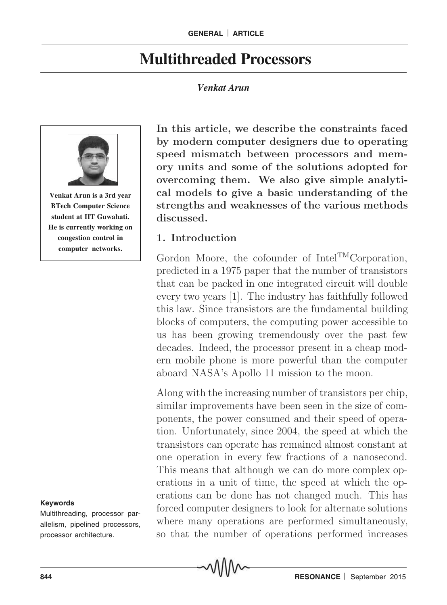# **Multithreaded Processors**

#### *Venkat Arun*



**Venkat Arun is a 3rd year BTech Computer Science student at IIT Guwahati. He is currently working on congestion control in computer networks.**

#### **Keywords**

Multithreading, processor parallelism, pipelined processors, processor architecture.

In this article, we describe the constraints faced by modern computer designers due to operating speed mismatch between processors and memory units and some of the solutions adopted for overcoming them. We also give simple analytical models to give a basic understanding of the strengths and weaknesses of the various methods discussed.

#### 1. Introduction

Gordon Moore, the cofounder of Intel<sup>TM</sup>Corporation, predicted in a 1975 paper that the number of transistors that can be packed in one integrated circuit will double every two years [1]. The industry has faithfully followed this law. Since transistors are the fundamental building blocks of computers, the computing power accessible to us has been growing tremendously over the past few decades. Indeed, the processor present in a cheap modern mobile phone is more powerful than the computer aboard NASA's Apollo 11 mission to the moon.

Along with the increasing number of transistors per chip, similar improvements have been seen in the size of components, the power consumed and their speed of operation. Unfortunately, since 2004, the speed at which the transistors can operate has remained almost constant at one operation in every few fractions of a nanosecond. This means that although we can do more complex operations in a unit of time, the speed at which the operations can be done has not changed much. This has forced computer designers to look for alternate solutions where many operations are performed simultaneously, so that the number of operations performed increases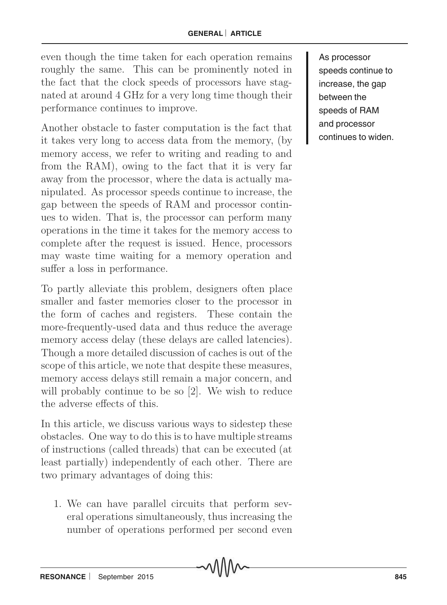even though the time taken for each operation remains roughly the same. This can be prominently noted in the fact that the clock speeds of processors have stagnated at around 4 GHz for a very long time though their performance continues to improve.

Another obstacle to faster computation is the fact that it takes very long to access data from the memory, (by memory access, we refer to writing and reading to and from the RAM), owing to the fact that it is very far away from the processor, where the data is actually manipulated. As processor speeds continue to increase, the gap between the speeds of RAM and processor continues to widen. That is, the processor can perform many operations in the time it takes for the memory access to complete after the request is issued. Hence, processors may waste time waiting for a memory operation and suffer a loss in performance.

To partly alleviate this problem, designers often place smaller and faster memories closer to the processor in the form of caches and registers. These contain the more-frequently-used data and thus reduce the average memory access delay (these delays are called latencies). Though a more detailed discussion of caches is out of the scope of this article, we note that despite these measures, memory access delays still remain a major concern, and will probably continue to be so [2]. We wish to reduce the adverse effects of this.

In this article, we discuss various ways to sidestep these obstacles. One way to do this is to have multiple streams of instructions (called threads) that can be executed (at least partially) independently of each other. There are two primary advantages of doing this:

1. We can have parallel circuits that perform several operations simultaneously, thus increasing the number of operations performed per second even As processor speeds continue to increase, the gap between the speeds of RAM and processor continues to widen.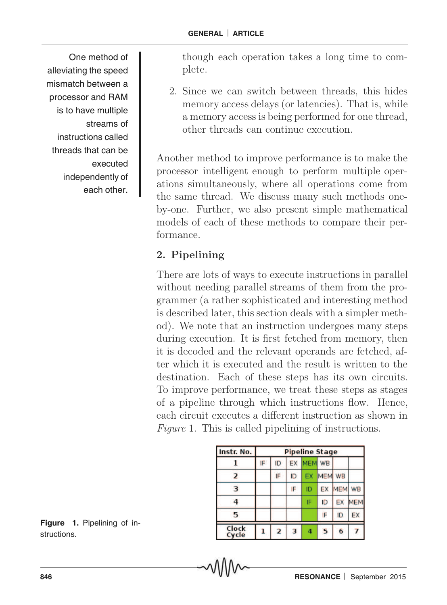One method of alleviating the speed mismatch between a processor and RAM is to have multiple streams of instructions called threads that can be executed independently of each other.

though each operation takes a long time to complete.

2. Since we can switch between threads, this hides memory access delays (or latencies). That is, while a memory access is being performed for one thread, other threads can continue execution.

Another method to improve performance is to make the processor intelligent enough to perform multiple operations simultaneously, where all operations come from the same thread. We discuss many such methods oneby-one. Further, we also present simple mathematical models of each of these methods to compare their performance.

## 2. Pipelining

There are lots of ways to execute instructions in parallel without needing parallel streams of them from the programmer (a rather sophisticated and interesting method is described later, this section deals with a simpler method). We note that an instruction undergoes many steps during execution. It is first fetched from memory, then it is decoded and the relevant operands are fetched, after which it is executed and the result is written to the destination. Each of these steps has its own circuits. To improve performance, we treat these steps as stages of a pipeline through which instructions flow. Hence, each circuit executes a different instruction as shown in Figure 1. This is called pipelining of instructions.

| Instr. No.     | <b>Pipeline Stage</b> |                |    |        |            |            |            |
|----------------|-----------------------|----------------|----|--------|------------|------------|------------|
|                | IF                    | ID             | EX | MEM WB |            |            |            |
| 2              |                       | IF             | ID | EX     | <b>MEM</b> | WB         |            |
| 3              |                       |                | IF | ID     | EX         | <b>MEM</b> | <b>WB</b>  |
| Δ              |                       |                |    | IF     | ID         | EX         | <b>MEM</b> |
| 5              |                       |                |    |        | IF         | ID         | EX         |
| Clock<br>Cycle |                       | $\overline{2}$ | 3  | 4      | 5          | 6          |            |

**Figure 1.** Pipelining of instructions.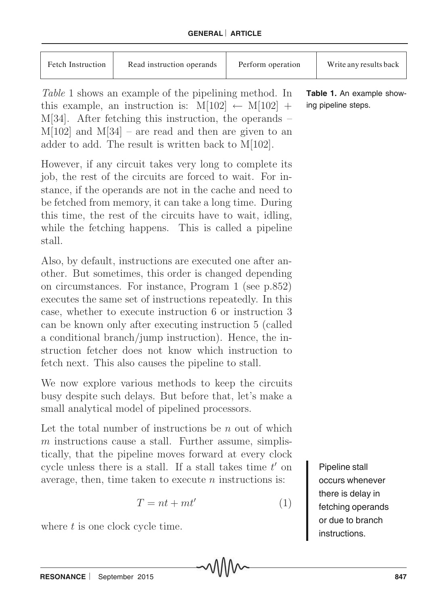| <b>Fetch Instruction</b><br>Read instruction operands | Perform operation | Write any results back |
|-------------------------------------------------------|-------------------|------------------------|
|-------------------------------------------------------|-------------------|------------------------|

Table 1 shows an example of the pipelining method. In this example, an instruction is:  $M[102] \leftarrow M[102] +$ M[34]. After fetching this instruction, the operands –  $M[102]$  and  $M[34]$  – are read and then are given to an adder to add. The result is written back to M[102].

However, if any circuit takes very long to complete its job, the rest of the circuits are forced to wait. For instance, if the operands are not in the cache and need to be fetched from memory, it can take a long time. During this time, the rest of the circuits have to wait, idling, while the fetching happens. This is called a pipeline stall.

Also, by default, instructions are executed one after another. But sometimes, this order is changed depending on circumstances. For instance, Program 1 (see p.852) executes the same set of instructions repeatedly. In this case, whether to execute instruction 6 or instruction 3 can be known only after executing instruction 5 (called a conditional branch/jump instruction). Hence, the instruction fetcher does not know which instruction to fetch next. This also causes the pipeline to stall.

We now explore various methods to keep the circuits busy despite such delays. But before that, let's make a small analytical model of pipelined processors.

Let the total number of instructions be  $n$  out of which  $m$  instructions cause a stall. Further assume, simplistically, that the pipeline moves forward at every clock cycle unless there is a stall. If a stall takes time  $t'$  on average, then, time taken to execute  $n$  instructions is:

$$
T = nt + mt'
$$
 (1)

where  $t$  is one clock cycle time.

**Table 1.** An example showing pipeline steps.

> Pipeline stall occurs whenever there is delay in fetching operands or due to branch instructions.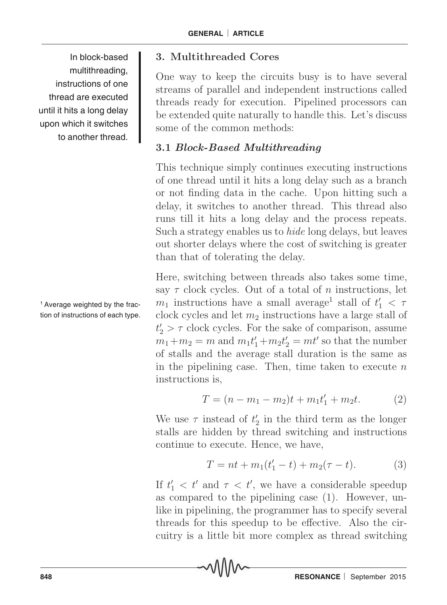In block-based multithreading, instructions of one thread are executed until it hits a long delay upon which it switches to another thread.

<sup>1</sup> Average weighted by the fraction of instructions of each type.

#### 3. Multithreaded Cores

One way to keep the circuits busy is to have several streams of parallel and independent instructions called threads ready for execution. Pipelined processors can be extended quite naturally to handle this. Let's discuss some of the common methods:

#### 3.1 Block-Based Multithreading

This technique simply continues executing instructions of one thread until it hits a long delay such as a branch or not finding data in the cache. Upon hitting such a delay, it switches to another thread. This thread also runs till it hits a long delay and the process repeats. Such a strategy enables us to hide long delays, but leaves out shorter delays where the cost of switching is greater than that of tolerating the delay.

Here, switching between threads also takes some time, say  $\tau$  clock cycles. Out of a total of n instructions, let  $m_1$  instructions have a small average<sup>1</sup> stall of  $t'_1 < \tau$ clock cycles and let  $m_2$  instructions have a large stall of  $t'_2 > \tau$  clock cycles. For the sake of comparison, assume  $m_1 + m_2 = m$  and  $m_1t'_1 + m_2t'_2 = mt'$  so that the number of stalls and the average stall duration is the same as in the pipelining case. Then, time taken to execute  $n$ instructions is,

$$
T = (n - m_1 - m_2)t + m_1t'_1 + m_2t.
$$
 (2)

We use  $\tau$  instead of  $t'_2$  $\frac{7}{2}$  in the third term as the longer stalls are hidden by thread switching and instructions continue to execute. Hence, we have,

$$
T = nt + m_1(t'_1 - t) + m_2(\tau - t).
$$
 (3)

If  $t'_1 < t'$  and  $\tau < t'$ , we have a considerable speedup as compared to the pipelining case (1). However, unlike in pipelining, the programmer has to specify several threads for this speedup to be effective. Also the circuitry is a little bit more complex as thread switching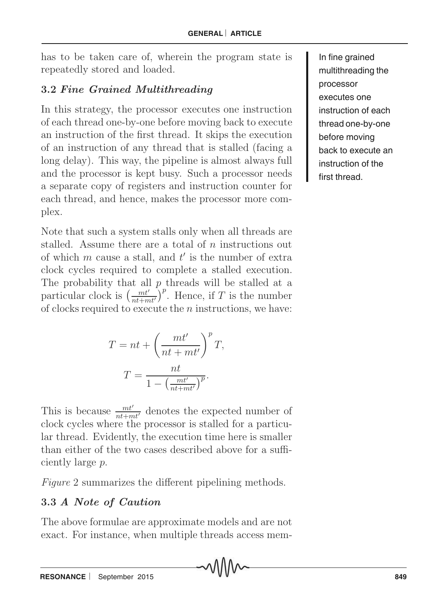has to be taken care of, wherein the program state is repeatedly stored and loaded.

### 3.2 Fine Grained Multithreading

In this strategy, the processor executes one instruction of each thread one-by-one before moving back to execute an instruction of the first thread. It skips the execution of an instruction of any thread that is stalled (facing a long delay). This way, the pipeline is almost always full and the processor is kept busy. Such a processor needs a separate copy of registers and instruction counter for each thread, and hence, makes the processor more complex.

Note that such a system stalls only when all threads are stalled. Assume there are a total of n instructions out of which  $m$  cause a stall, and  $t'$  is the number of extra clock cycles required to complete a stalled execution. The probability that all  $p$  threads will be stalled at a particular clock is  $\left(\frac{mt'}{nt+mt'}\right)^p$ . Hence, if T is the number of clocks required to execute the n instructions, we have:

$$
T = nt + \left(\frac{mt'}{nt + mt'}\right)^p T,
$$

$$
T = \frac{nt}{1 - \left(\frac{mt'}{nt + mt'}\right)^p}.
$$

This is because  $\frac{mt'}{nt+mt'}$  denotes the expected number of clock cycles where the processor is stalled for a particular thread. Evidently, the execution time here is smaller than either of the two cases described above for a sufficiently large p.

Figure 2 summarizes the different pipelining methods.

### 3.3 A Note of Caution

The above formulae are approximate models and are not exact. For instance, when multiple threads access mem-

In fine grained multithreading the processor executes one instruction of each thread one-by-one before moving back to execute an instruction of the first thread.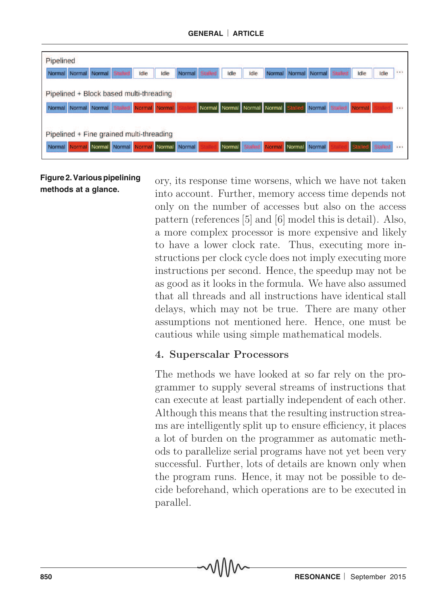**GENERAL** ¨ **ARTICLE**



**Figure 2. Various pipelining methods at a glance.**

ory, its response time worsens, which we have not taken into account. Further, memory access time depends not only on the number of accesses but also on the access pattern (references [5] and [6] model this is detail). Also, a more complex processor is more expensive and likely to have a lower clock rate. Thus, executing more instructions per clock cycle does not imply executing more instructions per second. Hence, the speedup may not be as good as it looks in the formula. We have also assumed that all threads and all instructions have identical stall delays, which may not be true. There are many other assumptions not mentioned here. Hence, one must be cautious while using simple mathematical models.

#### 4. Superscalar Processors

The methods we have looked at so far rely on the programmer to supply several streams of instructions that can execute at least partially independent of each other. Although this means that the resulting instruction streams are intelligently split up to ensure efficiency, it places a lot of burden on the programmer as automatic methods to parallelize serial programs have not yet been very successful. Further, lots of details are known only when the program runs. Hence, it may not be possible to decide beforehand, which operations are to be executed in parallel.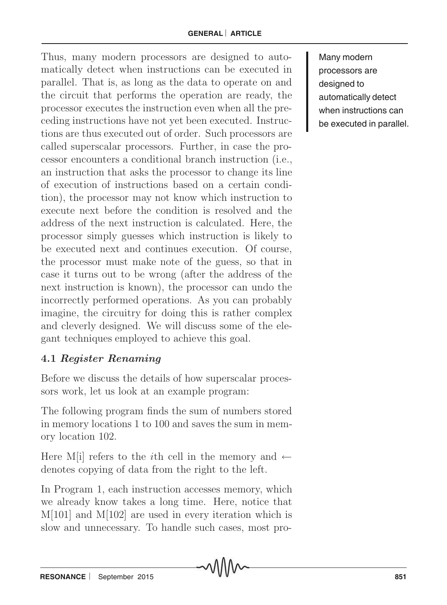Thus, many modern processors are designed to automatically detect when instructions can be executed in parallel. That is, as long as the data to operate on and the circuit that performs the operation are ready, the processor executes the instruction even when all the preceding instructions have not yet been executed. Instructions are thus executed out of order. Such processors are called superscalar processors. Further, in case the processor encounters a conditional branch instruction (i.e., an instruction that asks the processor to change its line of execution of instructions based on a certain condition), the processor may not know which instruction to execute next before the condition is resolved and the address of the next instruction is calculated. Here, the processor simply guesses which instruction is likely to be executed next and continues execution. Of course, the processor must make note of the guess, so that in case it turns out to be wrong (after the address of the next instruction is known), the processor can undo the incorrectly performed operations. As you can probably imagine, the circuitry for doing this is rather complex and cleverly designed. We will discuss some of the elegant techniques employed to achieve this goal.

### 4.1 Register Renaming

Before we discuss the details of how superscalar processors work, let us look at an example program:

The following program finds the sum of numbers stored in memory locations 1 to 100 and saves the sum in memory location 102.

Here M[i] refers to the *i*th cell in the memory and  $\leftarrow$ denotes copying of data from the right to the left.

In Program 1, each instruction accesses memory, which we already know takes a long time. Here, notice that M[101] and M[102] are used in every iteration which is slow and unnecessary. To handle such cases, most pro-

Many modern processors are designed to automatically detect when instructions can be executed in parallel.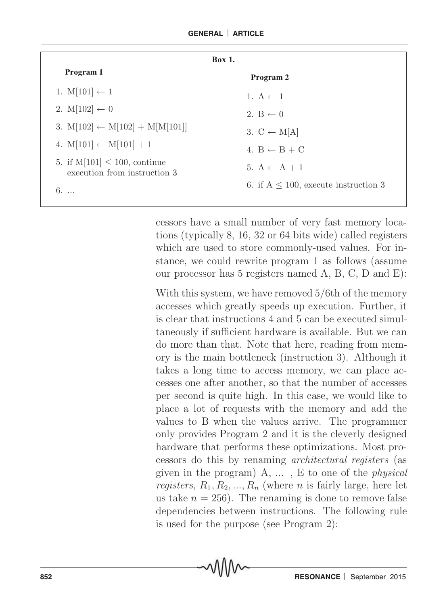| <b>Box 1.</b>                                                     |                                            |  |  |  |  |
|-------------------------------------------------------------------|--------------------------------------------|--|--|--|--|
| Program 1                                                         | Program 2                                  |  |  |  |  |
| 1. $M[101] \leftarrow 1$                                          | 1. A $\leftarrow$ 1                        |  |  |  |  |
| 2. $M[102] \leftarrow 0$                                          | 2. $B \leftarrow 0$                        |  |  |  |  |
| 3. $M[102] \leftarrow M[102] + M[M[101]]$                         | 3. $C \leftarrow M[A]$                     |  |  |  |  |
| 4. $M[101] \leftarrow M[101] + 1$                                 | 4. $B \leftarrow B + C$                    |  |  |  |  |
| 5. if $M[101] \le 100$ , continue<br>execution from instruction 3 | 5. $A \leftarrow A + 1$                    |  |  |  |  |
| $6. \ldots$                                                       | 6. if $A \leq 100$ , execute instruction 3 |  |  |  |  |

cessors have a small number of very fast memory locations (typically 8, 16, 32 or 64 bits wide) called registers which are used to store commonly-used values. For instance, we could rewrite program 1 as follows (assume our processor has 5 registers named A, B, C, D and E):

With this system, we have removed 5/6th of the memory accesses which greatly speeds up execution. Further, it is clear that instructions 4 and 5 can be executed simultaneously if sufficient hardware is available. But we can do more than that. Note that here, reading from memory is the main bottleneck (instruction 3). Although it takes a long time to access memory, we can place accesses one after another, so that the number of accesses per second is quite high. In this case, we would like to place a lot of requests with the memory and add the values to B when the values arrive. The programmer only provides Program 2 and it is the cleverly designed hardware that performs these optimizations. Most processors do this by renaming architectural registers (as given in the program)  $A, \ldots, E$  to one of the *physical* registers,  $R_1, R_2, ..., R_n$  (where n is fairly large, here let us take  $n = 256$ . The renaming is done to remove false dependencies between instructions. The following rule is used for the purpose (see Program 2):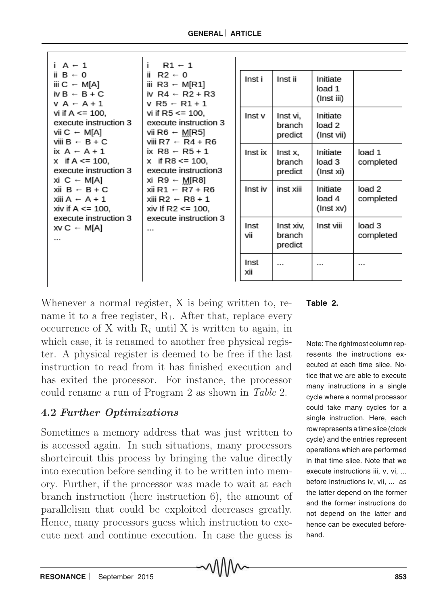| $i A \leftarrow 1$<br>ii $B \leftarrow 0$                                                                                                                                                                                                                                                                                                                                                                                                                         | $R1 - 1$<br>Ť.<br>ii R2 $\div$ 0<br>iii R3 $\leftarrow$ M[R1]<br>iv R4 $\leftarrow$ R2 + R3<br>$V$ R <sub>5</sub> ← R <sub>1</sub> + 1<br>vi if $R5 \le 100$ ,<br>execute instruction 3<br>vii R6 $\leftarrow$ M[R5]<br>viii R7 $\leftarrow$ R4 + R6<br>ix R8 $\div$ R5 + 1<br>x if R8 $\le$ = 100.<br>execute instruction3<br>xi R9 $\leftarrow$ M[R8]<br>xii R1 $\leftarrow$ R7 + R6<br>xiii R2 ← R8 + 1<br>xiv If R2 $\le$ 100, | Inst i<br>Inst ii<br>Initiate |                                |                                  |                     |
|-------------------------------------------------------------------------------------------------------------------------------------------------------------------------------------------------------------------------------------------------------------------------------------------------------------------------------------------------------------------------------------------------------------------------------------------------------------------|------------------------------------------------------------------------------------------------------------------------------------------------------------------------------------------------------------------------------------------------------------------------------------------------------------------------------------------------------------------------------------------------------------------------------------|-------------------------------|--------------------------------|----------------------------------|---------------------|
| iii C $\leftarrow$ M[A]<br>$i \vee B$ $\vdash$ $B + C$<br>$V A \leftarrow A + 1$<br>vi if A $\le$ 100.<br>execute instruction 3<br>vii C $\sim$ M[A]<br>viii $B \leftarrow B + C$<br>ix $A \leftarrow A + 1$<br>x if A $\le$ 100.<br>execute instruction 3<br>xi C $\leftarrow$ M[A]<br>xii $B \leftarrow B + C$<br>xiii A $\leftarrow$ A + 1<br>xiv if A $\leq$ 100,<br>execute instruction 3<br>execute instruction 3<br>$XV C \leftarrow M[A]$<br>$\cdots$<br> |                                                                                                                                                                                                                                                                                                                                                                                                                                    |                               |                                | load 1<br>(Inst iii)             |                     |
|                                                                                                                                                                                                                                                                                                                                                                                                                                                                   |                                                                                                                                                                                                                                                                                                                                                                                                                                    | Inst v                        | Inst vi,<br>branch<br>predict  | Initiate<br>load 2<br>(Inst vii) |                     |
|                                                                                                                                                                                                                                                                                                                                                                                                                                                                   |                                                                                                                                                                                                                                                                                                                                                                                                                                    | Inst ix                       | Inst x,<br>branch<br>predict   | Initiate<br>load 3<br>(Inst xi)  | load 1<br>completed |
|                                                                                                                                                                                                                                                                                                                                                                                                                                                                   |                                                                                                                                                                                                                                                                                                                                                                                                                                    | Inst iv                       | inst xiii                      | Initiate<br>load 4<br>(Inst xv)  | load 2<br>completed |
|                                                                                                                                                                                                                                                                                                                                                                                                                                                                   |                                                                                                                                                                                                                                                                                                                                                                                                                                    | Inst<br>vii                   | Inst xiv,<br>branch<br>predict | Inst viii                        | load 3<br>completed |
|                                                                                                                                                                                                                                                                                                                                                                                                                                                                   |                                                                                                                                                                                                                                                                                                                                                                                                                                    | Inst<br>xii                   |                                |                                  |                     |

Whenever a normal register, X is being written to, rename it to a free register,  $R_1$ . After that, replace every occurrence of X with  $R_i$  until X is written to again, in which case, it is renamed to another free physical register. A physical register is deemed to be free if the last instruction to read from it has finished execution and has exited the processor. For instance, the processor could rename a run of Program 2 as shown in Table 2.

## 4.2 Further Optimizations

Sometimes a memory address that was just written to is accessed again. In such situations, many processors shortcircuit this process by bringing the value directly into execution before sending it to be written into memory. Further, if the processor was made to wait at each branch instruction (here instruction 6), the amount of parallelism that could be exploited decreases greatly. Hence, many processors guess which instruction to execute next and continue execution. In case the guess is



Note: The rightmost column represents the instructions executed at each time slice. Notice that we are able to execute many instructions in a single cycle where a normal processor could take many cycles for a single instruction. Here, each row represents a time slice (clock cycle) and the entries represent operations which are performed in that time slice. Note that we execute instructions iii, v, vi, ... before instructions iv, vii, ... as the latter depend on the former and the former instructions do not depend on the latter and hence can be executed beforehand.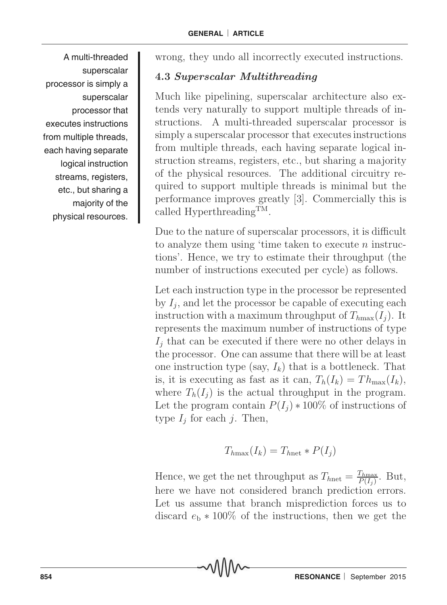A multi-threaded superscalar processor is simply a superscalar processor that executes instructions from multiple threads, each having separate logical instruction streams, registers, etc., but sharing a majority of the physical resources.

wrong, they undo all incorrectly executed instructions.

#### 4.3 Superscalar Multithreading

Much like pipelining, superscalar architecture also extends very naturally to support multiple threads of instructions. A multi-threaded superscalar processor is simply a superscalar processor that executes instructions from multiple threads, each having separate logical instruction streams, registers, etc., but sharing a majority of the physical resources. The additional circuitry required to support multiple threads is minimal but the performance improves greatly [3]. Commercially this is called Hyperthreading<sup>TM</sup>.

Due to the nature of superscalar processors, it is difficult to analyze them using 'time taken to execute  $n$  instructions'. Hence, we try to estimate their throughput (the number of instructions executed per cycle) as follows.

Let each instruction type in the processor be represented by  $I_i$ , and let the processor be capable of executing each instruction with a maximum throughput of  $T_{hmax}(I_i)$ . It represents the maximum number of instructions of type  $I_i$  that can be executed if there were no other delays in the processor. One can assume that there will be at least one instruction type (say,  $I_k$ ) that is a bottleneck. That is, it is executing as fast as it can,  $T_h(I_k) = Th_{\text{max}}(I_k)$ , where  $T_h(I_i)$  is the actual throughput in the program. Let the program contain  $P(I_i) * 100\%$  of instructions of type  $I_j$  for each j. Then,

$$
T_{h\text{max}}(I_k) = T_{h\text{net}} * P(I_j)
$$

Hence, we get the net throughput as  $T_{h_{\text{net}}} = \frac{T_{h_{\text{max}}}}{P(L)}$  $\frac{I_{hmax}}{P(I_j)}$ . But, here we have not considered branch prediction errors. Let us assume that branch misprediction forces us to discard  $e<sub>b</sub> * 100\%$  of the instructions, then we get the